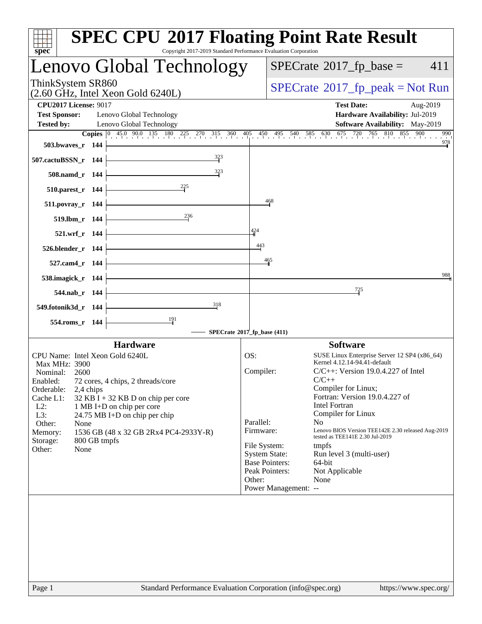| $spec^*$                                                                                                                                                                                                                                                                                                                                                                           | Copyright 2017-2019 Standard Performance Evaluation Corporation |                                                                                                                                                                 | <b>SPEC CPU®2017 Floating Point Rate Result</b>                                                                                                                                                                                                                                                                                                                                                                                                |                       |
|------------------------------------------------------------------------------------------------------------------------------------------------------------------------------------------------------------------------------------------------------------------------------------------------------------------------------------------------------------------------------------|-----------------------------------------------------------------|-----------------------------------------------------------------------------------------------------------------------------------------------------------------|------------------------------------------------------------------------------------------------------------------------------------------------------------------------------------------------------------------------------------------------------------------------------------------------------------------------------------------------------------------------------------------------------------------------------------------------|-----------------------|
| Lenovo Global Technology                                                                                                                                                                                                                                                                                                                                                           |                                                                 |                                                                                                                                                                 | $SPECrate^{\circ}2017$ fp base =                                                                                                                                                                                                                                                                                                                                                                                                               | 411                   |
| ThinkSystem SR860<br>$(2.60 \text{ GHz}, \text{Intel Xeon Gold } 6240L)$                                                                                                                                                                                                                                                                                                           |                                                                 |                                                                                                                                                                 | $SPECrate^{\circ}2017$ [p_peak = Not Run                                                                                                                                                                                                                                                                                                                                                                                                       |                       |
| <b>CPU2017 License: 9017</b><br><b>Test Sponsor:</b><br>Lenovo Global Technology<br><b>Tested by:</b><br>Lenovo Global Technology                                                                                                                                                                                                                                                  |                                                                 |                                                                                                                                                                 | <b>Test Date:</b><br>Hardware Availability: Jul-2019<br>Software Availability: May-2019<br><b>Copies</b> $\begin{bmatrix} 0 & 45.0 & 90.0 & 135 & 180 & 225 & 270 & 315 & 360 & 405 & 450 & 495 & 540 & 585 & 630 & 675 & 720 & 765 & 810 & 855 & 900 \end{bmatrix}$                                                                                                                                                                           | Aug-2019<br>990       |
| 503.bwayes r 144<br>507.cactuBSSN_r 144<br>508.namd r 144                                                                                                                                                                                                                                                                                                                          | $\frac{323}{5}$<br>323                                          |                                                                                                                                                                 |                                                                                                                                                                                                                                                                                                                                                                                                                                                | $\frac{978}{9}$       |
| 510.parest_r 144<br>511.povray_r 144<br>519.lbm_r 144<br>521.wrf_r 144                                                                                                                                                                                                                                                                                                             | 236                                                             | 468<br>424                                                                                                                                                      |                                                                                                                                                                                                                                                                                                                                                                                                                                                |                       |
| $526.blender_r 144$<br>527.cam4_r 144<br>538.imagick_r 144                                                                                                                                                                                                                                                                                                                         |                                                                 | $\frac{443}{4}$<br>$\frac{465}{4}$                                                                                                                              |                                                                                                                                                                                                                                                                                                                                                                                                                                                | 988                   |
| 544.nab r 144<br>549.fotonik3d r 144<br>554.roms_r 144                                                                                                                                                                                                                                                                                                                             | 318<br>$\frac{191}{4}$                                          | SPECrate®2017_fp_base (411)                                                                                                                                     | $\frac{725}{5}$                                                                                                                                                                                                                                                                                                                                                                                                                                |                       |
| <b>Hardware</b><br>CPU Name: Intel Xeon Gold 6240L<br>Max MHz: 3900<br>Nominal:<br>2600<br>Enabled:<br>72 cores, 4 chips, 2 threads/core<br>Orderable:<br>2,4 chips<br>Cache L1:<br>$32$ KB I + 32 KB D on chip per core<br>$L2$ :<br>1 MB I+D on chip per core<br>L3:<br>24.75 MB I+D on chip per chip<br>Other:<br>None<br>Memory:<br>800 GB tmpfs<br>Storage:<br>Other:<br>None | 1536 GB (48 x 32 GB 2Rx4 PC4-2933Y-R)                           | OS:<br>Compiler:<br>Parallel:<br>Firmware:<br>File System:<br><b>System State:</b><br><b>Base Pointers:</b><br>Peak Pointers:<br>Other:<br>Power Management: -- | <b>Software</b><br>SUSE Linux Enterprise Server 12 SP4 (x86_64)<br>Kernel 4.12.14-94.41-default<br>$C/C++$ : Version 19.0.4.227 of Intel<br>$C/C++$<br>Compiler for Linux;<br>Fortran: Version 19.0.4.227 of<br><b>Intel Fortran</b><br>Compiler for Linux<br>N <sub>0</sub><br>Lenovo BIOS Version TEE142E 2.30 released Aug-2019<br>tested as TEE141E 2.30 Jul-2019<br>tmpfs<br>Run level 3 (multi-user)<br>64-bit<br>Not Applicable<br>None |                       |
| Page 1                                                                                                                                                                                                                                                                                                                                                                             | Standard Performance Evaluation Corporation (info@spec.org)     |                                                                                                                                                                 |                                                                                                                                                                                                                                                                                                                                                                                                                                                | https://www.spec.org/ |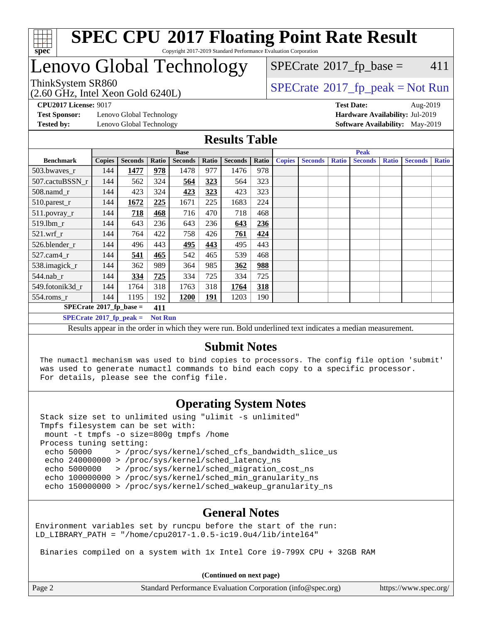

#### **[SPEC CPU](http://www.spec.org/auto/cpu2017/Docs/result-fields.html#SPECCPU2017FloatingPointRateResult)[2017 Floating Point Rate Result](http://www.spec.org/auto/cpu2017/Docs/result-fields.html#SPECCPU2017FloatingPointRateResult)** Copyright 2017-2019 Standard Performance Evaluation Corporation

### Lenovo Global Technology

(2.60 GHz, Intel Xeon Gold 6240L)

 $SPECTate$ <sup>®</sup>[2017\\_fp\\_base =](http://www.spec.org/auto/cpu2017/Docs/result-fields.html#SPECrate2017fpbase) 411

ThinkSystem SR860<br>  $(2.60 \text{ GHz}_{\odot} \text{ Intel } \text{Yoon} \text{ Gold } 6240 \text{ I})$  [SPECrate](http://www.spec.org/auto/cpu2017/Docs/result-fields.html#SPECrate2017fppeak)®[2017\\_fp\\_peak = N](http://www.spec.org/auto/cpu2017/Docs/result-fields.html#SPECrate2017fppeak)ot Run

**[CPU2017 License:](http://www.spec.org/auto/cpu2017/Docs/result-fields.html#CPU2017License)** 9017 **[Test Date:](http://www.spec.org/auto/cpu2017/Docs/result-fields.html#TestDate)** Aug-2019

**[Test Sponsor:](http://www.spec.org/auto/cpu2017/Docs/result-fields.html#TestSponsor)** Lenovo Global Technology **[Hardware Availability:](http://www.spec.org/auto/cpu2017/Docs/result-fields.html#HardwareAvailability)** Jul-2019 **[Tested by:](http://www.spec.org/auto/cpu2017/Docs/result-fields.html#Testedby)** Lenovo Global Technology **[Software Availability:](http://www.spec.org/auto/cpu2017/Docs/result-fields.html#SoftwareAvailability)** May-2019

#### **[Results Table](http://www.spec.org/auto/cpu2017/Docs/result-fields.html#ResultsTable)**

|                                                    |                                                                                                          | <b>Base</b>    |       |                |       |                |       | <b>Peak</b>   |                |              |                |              |                |              |
|----------------------------------------------------|----------------------------------------------------------------------------------------------------------|----------------|-------|----------------|-------|----------------|-------|---------------|----------------|--------------|----------------|--------------|----------------|--------------|
| <b>Benchmark</b>                                   | <b>Copies</b>                                                                                            | <b>Seconds</b> | Ratio | <b>Seconds</b> | Ratio | <b>Seconds</b> | Ratio | <b>Copies</b> | <b>Seconds</b> | <b>Ratio</b> | <b>Seconds</b> | <b>Ratio</b> | <b>Seconds</b> | <b>Ratio</b> |
| 503.bwayes r                                       | 144                                                                                                      | 1477           | 978   | 1478           | 977   | 1476           | 978   |               |                |              |                |              |                |              |
| 507.cactuBSSN r                                    | 144                                                                                                      | 562            | 324   | 564            | 323   | 564            | 323   |               |                |              |                |              |                |              |
| $508$ .namd $r$                                    | 144                                                                                                      | 423            | 324   | 423            | 323   | 423            | 323   |               |                |              |                |              |                |              |
| 510.parest_r                                       | 144                                                                                                      | 1672           | 225   | 1671           | 225   | 1683           | 224   |               |                |              |                |              |                |              |
| 511.povray_r                                       | 144                                                                                                      | 718            | 468   | 716            | 470   | 718            | 468   |               |                |              |                |              |                |              |
| 519.lbm r                                          | 144                                                                                                      | 643            | 236   | 643            | 236   | 643            | 236   |               |                |              |                |              |                |              |
| $521$ .wrf r                                       | 144                                                                                                      | 764            | 422   | 758            | 426   | 761            | 424   |               |                |              |                |              |                |              |
| 526.blender_r                                      | 144                                                                                                      | 496            | 443   | 495            | 443   | 495            | 443   |               |                |              |                |              |                |              |
| $527.cam4_r$                                       | 144                                                                                                      | 541            | 465   | 542            | 465   | 539            | 468   |               |                |              |                |              |                |              |
| 538.imagick_r                                      | 144                                                                                                      | 362            | 989   | 364            | 985   | 362            | 988   |               |                |              |                |              |                |              |
| $544$ .nab_r                                       | 144                                                                                                      | 334            | 725   | 334            | 725   | 334            | 725   |               |                |              |                |              |                |              |
| 549.fotonik3d r                                    | 144                                                                                                      | 1764           | 318   | 1763           | 318   | 1764           | 318   |               |                |              |                |              |                |              |
| $554$ .roms_r                                      | 144                                                                                                      | 1195           | 192   | 1200           | 191   | 1203           | 190   |               |                |              |                |              |                |              |
| $SPECrate^{\otimes}2017$ fp base =<br>411          |                                                                                                          |                |       |                |       |                |       |               |                |              |                |              |                |              |
| $SPECrate^{\circ}2017$ fp peak =<br><b>Not Run</b> |                                                                                                          |                |       |                |       |                |       |               |                |              |                |              |                |              |
|                                                    | Results appear in the order in which they were run. Bold underlined text indicates a median measurement. |                |       |                |       |                |       |               |                |              |                |              |                |              |

### **[Submit Notes](http://www.spec.org/auto/cpu2017/Docs/result-fields.html#SubmitNotes)**

 The numactl mechanism was used to bind copies to processors. The config file option 'submit' was used to generate numactl commands to bind each copy to a specific processor. For details, please see the config file.

### **[Operating System Notes](http://www.spec.org/auto/cpu2017/Docs/result-fields.html#OperatingSystemNotes)**

 Stack size set to unlimited using "ulimit -s unlimited" Tmpfs filesystem can be set with: mount -t tmpfs -o size=800g tmpfs /home Process tuning setting: echo 50000 > /proc/sys/kernel/sched\_cfs\_bandwidth\_slice\_us echo 240000000 > /proc/sys/kernel/sched\_latency\_ns echo 5000000 > /proc/sys/kernel/sched\_migration\_cost\_ns echo 100000000 > /proc/sys/kernel/sched\_min\_granularity\_ns echo 150000000 > /proc/sys/kernel/sched wakeup granularity ns

### **[General Notes](http://www.spec.org/auto/cpu2017/Docs/result-fields.html#GeneralNotes)**

Environment variables set by runcpu before the start of the run: LD LIBRARY PATH = "/home/cpu2017-1.0.5-ic19.0u4/lib/intel64"

Binaries compiled on a system with 1x Intel Core i9-799X CPU + 32GB RAM

**(Continued on next page)**

| Page 2<br>Standard Performance Evaluation Corporation (info@spec.org)<br>https://www.spec.org/ |
|------------------------------------------------------------------------------------------------|
|------------------------------------------------------------------------------------------------|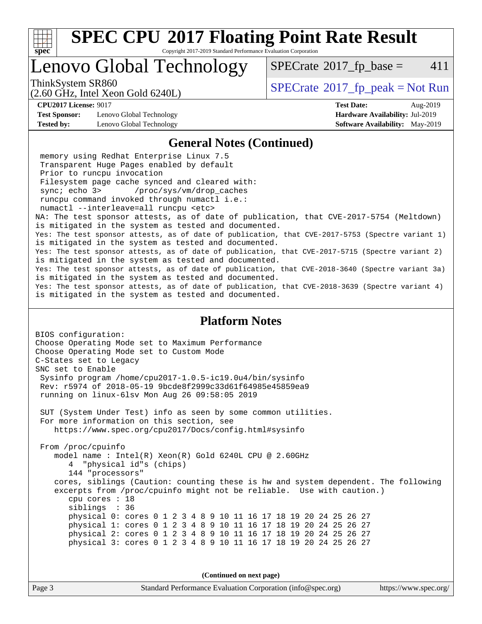

Copyright 2017-2019 Standard Performance Evaluation Corporation

## Lenovo Global Technology

 $SPECTate@2017<sub>fr</sub> base = 411$ 

(2.60 GHz, Intel Xeon Gold 6240L)

ThinkSystem SR860<br>  $SPECrate^{\circ}2017$  $SPECrate^{\circ}2017$  fp\_peak = Not Run

**[CPU2017 License:](http://www.spec.org/auto/cpu2017/Docs/result-fields.html#CPU2017License)** 9017 **[Test Date:](http://www.spec.org/auto/cpu2017/Docs/result-fields.html#TestDate)** Aug-2019

**[Test Sponsor:](http://www.spec.org/auto/cpu2017/Docs/result-fields.html#TestSponsor)** Lenovo Global Technology **[Hardware Availability:](http://www.spec.org/auto/cpu2017/Docs/result-fields.html#HardwareAvailability)** Jul-2019 **[Tested by:](http://www.spec.org/auto/cpu2017/Docs/result-fields.html#Testedby)** Lenovo Global Technology **[Software Availability:](http://www.spec.org/auto/cpu2017/Docs/result-fields.html#SoftwareAvailability)** May-2019

#### **[General Notes \(Continued\)](http://www.spec.org/auto/cpu2017/Docs/result-fields.html#GeneralNotes)**

 memory using Redhat Enterprise Linux 7.5 Transparent Huge Pages enabled by default Prior to runcpu invocation Filesystem page cache synced and cleared with: sync; echo 3> /proc/sys/vm/drop\_caches runcpu command invoked through numactl i.e.: numactl --interleave=all runcpu <etc> NA: The test sponsor attests, as of date of publication, that CVE-2017-5754 (Meltdown) is mitigated in the system as tested and documented. Yes: The test sponsor attests, as of date of publication, that CVE-2017-5753 (Spectre variant 1) is mitigated in the system as tested and documented. Yes: The test sponsor attests, as of date of publication, that CVE-2017-5715 (Spectre variant 2) is mitigated in the system as tested and documented. Yes: The test sponsor attests, as of date of publication, that CVE-2018-3640 (Spectre variant 3a) is mitigated in the system as tested and documented. Yes: The test sponsor attests, as of date of publication, that CVE-2018-3639 (Spectre variant 4) is mitigated in the system as tested and documented.

#### **[Platform Notes](http://www.spec.org/auto/cpu2017/Docs/result-fields.html#PlatformNotes)**

BIOS configuration: Choose Operating Mode set to Maximum Performance Choose Operating Mode set to Custom Mode C-States set to Legacy SNC set to Enable Sysinfo program /home/cpu2017-1.0.5-ic19.0u4/bin/sysinfo Rev: r5974 of 2018-05-19 9bcde8f2999c33d61f64985e45859ea9 running on linux-6lsv Mon Aug 26 09:58:05 2019 SUT (System Under Test) info as seen by some common utilities. For more information on this section, see <https://www.spec.org/cpu2017/Docs/config.html#sysinfo> From /proc/cpuinfo model name : Intel(R) Xeon(R) Gold 6240L CPU @ 2.60GHz 4 "physical id"s (chips) 144 "processors" cores, siblings (Caution: counting these is hw and system dependent. The following excerpts from /proc/cpuinfo might not be reliable. Use with caution.) cpu cores : 18 siblings : 36 physical 0: cores 0 1 2 3 4 8 9 10 11 16 17 18 19 20 24 25 26 27 physical 1: cores 0 1 2 3 4 8 9 10 11 16 17 18 19 20 24 25 26 27 physical 2: cores 0 1 2 3 4 8 9 10 11 16 17 18 19 20 24 25 26 27 physical 3: cores 0 1 2 3 4 8 9 10 11 16 17 18 19 20 24 25 26 27

**(Continued on next page)**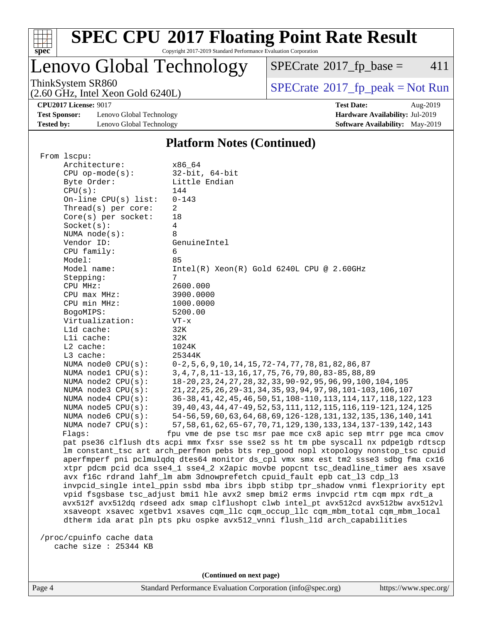

Copyright 2017-2019 Standard Performance Evaluation Corporation

### Lenovo Global Technology

 $SPECTate@2017_fp\_base = 411$ 

(2.60 GHz, Intel Xeon Gold 6240L)

ThinkSystem SR860<br>  $(2.60 \text{ GHz})$  Intel Xeon Gold 6240L)

**[CPU2017 License:](http://www.spec.org/auto/cpu2017/Docs/result-fields.html#CPU2017License)** 9017 **[Test Date:](http://www.spec.org/auto/cpu2017/Docs/result-fields.html#TestDate)** Aug-2019

**[Test Sponsor:](http://www.spec.org/auto/cpu2017/Docs/result-fields.html#TestSponsor)** Lenovo Global Technology **[Hardware Availability:](http://www.spec.org/auto/cpu2017/Docs/result-fields.html#HardwareAvailability)** Jul-2019 **[Tested by:](http://www.spec.org/auto/cpu2017/Docs/result-fields.html#Testedby)** Lenovo Global Technology **[Software Availability:](http://www.spec.org/auto/cpu2017/Docs/result-fields.html#SoftwareAvailability)** May-2019

#### **[Platform Notes \(Continued\)](http://www.spec.org/auto/cpu2017/Docs/result-fields.html#PlatformNotes)**

| From 1scpu:                |                                                                                      |  |  |  |  |  |
|----------------------------|--------------------------------------------------------------------------------------|--|--|--|--|--|
| Architecture:              | x86 64                                                                               |  |  |  |  |  |
| $CPU$ op-mode(s):          | $32$ -bit, $64$ -bit                                                                 |  |  |  |  |  |
| Byte Order:                | Little Endian                                                                        |  |  |  |  |  |
| CPU(s):                    | 144                                                                                  |  |  |  |  |  |
| $On$ -line CPU $(s)$ list: | $0 - 143$                                                                            |  |  |  |  |  |
| Thread( $s$ ) per core:    | 2                                                                                    |  |  |  |  |  |
| $Core(s)$ per socket:      | 18                                                                                   |  |  |  |  |  |
| Socket(s):                 | 4                                                                                    |  |  |  |  |  |
| NUMA $node(s)$ :           | 8                                                                                    |  |  |  |  |  |
| Vendor ID:                 | GenuineIntel                                                                         |  |  |  |  |  |
| CPU family:                | 6                                                                                    |  |  |  |  |  |
| Model:                     | 85                                                                                   |  |  |  |  |  |
| Model name:                | $Intel(R) Xeon(R) Gold 6240L CPU @ 2.60GHz$                                          |  |  |  |  |  |
| Stepping:                  | 7                                                                                    |  |  |  |  |  |
| CPU MHz:                   | 2600.000                                                                             |  |  |  |  |  |
| CPU max MHz:               | 3900.0000                                                                            |  |  |  |  |  |
| CPU min MHz:               | 1000.0000                                                                            |  |  |  |  |  |
| BogoMIPS:                  | 5200.00                                                                              |  |  |  |  |  |
| Virtualization:            | $VT - x$                                                                             |  |  |  |  |  |
| L1d cache:                 | 32K                                                                                  |  |  |  |  |  |
| Lli cache:                 | 32K                                                                                  |  |  |  |  |  |
| $L2$ cache:                | 1024K                                                                                |  |  |  |  |  |
| $L3$ cache:                | 25344K                                                                               |  |  |  |  |  |
| NUMA node0 CPU(s):         | $0-2, 5, 6, 9, 10, 14, 15, 72-74, 77, 78, 81, 82, 86, 87$                            |  |  |  |  |  |
| NUMA nodel CPU(s):         | 3, 4, 7, 8, 11-13, 16, 17, 75, 76, 79, 80, 83-85, 88, 89                             |  |  |  |  |  |
| NUMA $node2$ $CPU(s)$ :    | 18-20, 23, 24, 27, 28, 32, 33, 90-92, 95, 96, 99, 100, 104, 105                      |  |  |  |  |  |
| NUMA node3 CPU(s):         | 21, 22, 25, 26, 29-31, 34, 35, 93, 94, 97, 98, 101-103, 106, 107                     |  |  |  |  |  |
| NUMA $node4$ $CPU(s):$     | 36-38, 41, 42, 45, 46, 50, 51, 108-110, 113, 114, 117, 118, 122, 123                 |  |  |  |  |  |
| NUMA node5 CPU(s):         | 39, 40, 43, 44, 47-49, 52, 53, 111, 112, 115, 116, 119-121, 124, 125                 |  |  |  |  |  |
| NUMA node6 CPU(s):         | 54-56, 59, 60, 63, 64, 68, 69, 126-128, 131, 132, 135, 136, 140, 141                 |  |  |  |  |  |
| NUMA $node7$ CPU $(s)$ :   | 57, 58, 61, 62, 65-67, 70, 71, 129, 130, 133, 134, 137-139, 142, 143                 |  |  |  |  |  |
| Flaqs:                     | fpu vme de pse tsc msr pae mce cx8 apic sep mtrr pge mca cmov                        |  |  |  |  |  |
|                            | pat pse36 clflush dts acpi mmx fxsr sse sse2 ss ht tm pbe syscall nx pdpe1gb rdtscp  |  |  |  |  |  |
|                            | lm constant_tsc art arch_perfmon pebs bts rep_good nopl xtopology nonstop_tsc cpuid  |  |  |  |  |  |
|                            | aperfmperf pni pclmulqdq dtes64 monitor ds_cpl vmx smx est tm2 ssse3 sdbg fma cx16   |  |  |  |  |  |
|                            | xtpr pdcm pcid dca sse4_1 sse4_2 x2apic movbe popcnt tsc_deadline_timer aes xsave    |  |  |  |  |  |
|                            | avx f16c rdrand lahf_lm abm 3dnowprefetch cpuid_fault epb cat_13 cdp_13              |  |  |  |  |  |
|                            | invpcid_single intel_ppin ssbd mba ibrs ibpb stibp tpr_shadow vnmi flexpriority ept  |  |  |  |  |  |
|                            | vpid fsgsbase tsc_adjust bmil hle avx2 smep bmi2 erms invpcid rtm cqm mpx rdt_a      |  |  |  |  |  |
|                            | avx512f avx512dq rdseed adx smap clflushopt clwb intel_pt avx512cd avx512bw avx512vl |  |  |  |  |  |
|                            | xsaveopt xsavec xgetbvl xsaves cqm_llc cqm_occup_llc cqm_mbm_total cqm_mbm_local     |  |  |  |  |  |
|                            | dtherm ida arat pln pts pku ospke avx512_vnni flush_lld arch_capabilities            |  |  |  |  |  |
|                            |                                                                                      |  |  |  |  |  |

 /proc/cpuinfo cache data cache size : 25344 KB

**(Continued on next page)**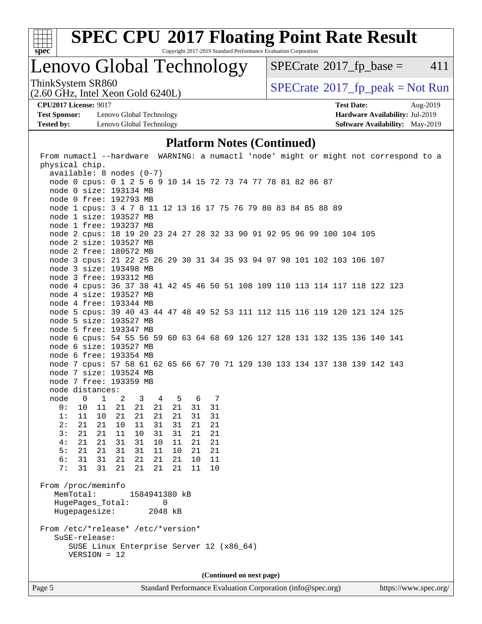

Copyright 2017-2019 Standard Performance Evaluation Corporation

### Lenovo Global Technology

 $SPECTate$ <sup>®</sup>[2017\\_fp\\_base =](http://www.spec.org/auto/cpu2017/Docs/result-fields.html#SPECrate2017fpbase) 411

ThinkSystem SR860<br>(2.60 GHz, Intel Xeon Gold 6240I)  $\begin{array}{c} | \text{SPECrate} \textdegree 2017\_fp\_peak = Not Run \end{array}$  $\begin{array}{c} | \text{SPECrate} \textdegree 2017\_fp\_peak = Not Run \end{array}$  $\begin{array}{c} | \text{SPECrate} \textdegree 2017\_fp\_peak = Not Run \end{array}$ 

**[Test Sponsor:](http://www.spec.org/auto/cpu2017/Docs/result-fields.html#TestSponsor)** Lenovo Global Technology **[Hardware Availability:](http://www.spec.org/auto/cpu2017/Docs/result-fields.html#HardwareAvailability)** Jul-2019 **[Tested by:](http://www.spec.org/auto/cpu2017/Docs/result-fields.html#Testedby)** Lenovo Global Technology **[Software Availability:](http://www.spec.org/auto/cpu2017/Docs/result-fields.html#SoftwareAvailability)** May-2019

(2.60 GHz, Intel Xeon Gold 6240L)

**[CPU2017 License:](http://www.spec.org/auto/cpu2017/Docs/result-fields.html#CPU2017License)** 9017 **[Test Date:](http://www.spec.org/auto/cpu2017/Docs/result-fields.html#TestDate)** Aug-2019

### **[Platform Notes \(Continued\)](http://www.spec.org/auto/cpu2017/Docs/result-fields.html#PlatformNotes)**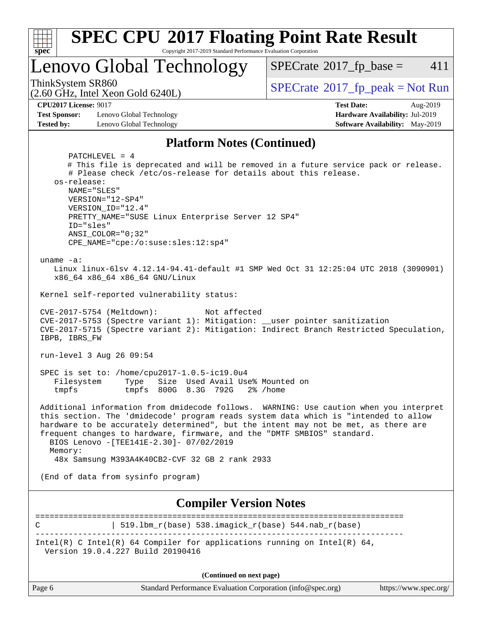

**(Continued on next page)**

| лчагч т споппансе плані |  |  |  |  |
|-------------------------|--|--|--|--|
|                         |  |  |  |  |

Page 6 Standard Performance Evaluation Corporation [\(info@spec.org\)](mailto:info@spec.org) <https://www.spec.org/>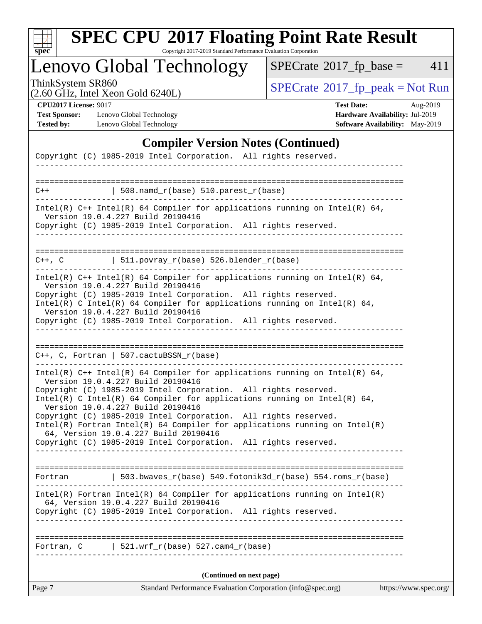

Copyright 2017-2019 Standard Performance Evaluation Corporation

Lenovo Global Technology

 $SPECTate@2017_fp\_base = 411$ 

(2.60 GHz, Intel Xeon Gold 6240L)

ThinkSystem SR860<br>  $(2.60 \text{ GHz})$  Intel Xeon Gold 6240L)

**[Test Sponsor:](http://www.spec.org/auto/cpu2017/Docs/result-fields.html#TestSponsor)** Lenovo Global Technology **[Hardware Availability:](http://www.spec.org/auto/cpu2017/Docs/result-fields.html#HardwareAvailability)** Jul-2019 **[Tested by:](http://www.spec.org/auto/cpu2017/Docs/result-fields.html#Testedby)** Lenovo Global Technology **[Software Availability:](http://www.spec.org/auto/cpu2017/Docs/result-fields.html#SoftwareAvailability)** May-2019

**[CPU2017 License:](http://www.spec.org/auto/cpu2017/Docs/result-fields.html#CPU2017License)** 9017 **[Test Date:](http://www.spec.org/auto/cpu2017/Docs/result-fields.html#TestDate)** Aug-2019

### **[Compiler Version Notes \(Continued\)](http://www.spec.org/auto/cpu2017/Docs/result-fields.html#CompilerVersionNotes)**

|            | Copyright (C) 1985-2019 Intel Corporation. All rights reserved.                                                                                                                                                                                                                                                                                                                                                                                                                                   |                       |
|------------|---------------------------------------------------------------------------------------------------------------------------------------------------------------------------------------------------------------------------------------------------------------------------------------------------------------------------------------------------------------------------------------------------------------------------------------------------------------------------------------------------|-----------------------|
|            |                                                                                                                                                                                                                                                                                                                                                                                                                                                                                                   |                       |
| $C++$      | 508.namd_r(base) 510.parest_r(base)                                                                                                                                                                                                                                                                                                                                                                                                                                                               |                       |
|            | Intel(R) $C++$ Intel(R) 64 Compiler for applications running on Intel(R) 64,<br>Version 19.0.4.227 Build 20190416<br>Copyright (C) 1985-2019 Intel Corporation. All rights reserved.                                                                                                                                                                                                                                                                                                              |                       |
|            |                                                                                                                                                                                                                                                                                                                                                                                                                                                                                                   |                       |
|            | $C++$ , C $\vert$ 511.povray_r(base) 526.blender_r(base)                                                                                                                                                                                                                                                                                                                                                                                                                                          |                       |
|            | Intel(R) $C++$ Intel(R) 64 Compiler for applications running on Intel(R) 64,<br>Version 19.0.4.227 Build 20190416                                                                                                                                                                                                                                                                                                                                                                                 |                       |
|            | Copyright (C) 1985-2019 Intel Corporation. All rights reserved.<br>Intel(R) C Intel(R) 64 Compiler for applications running on Intel(R) 64,                                                                                                                                                                                                                                                                                                                                                       |                       |
|            | Version 19.0.4.227 Build 20190416<br>Copyright (C) 1985-2019 Intel Corporation. All rights reserved.                                                                                                                                                                                                                                                                                                                                                                                              |                       |
|            |                                                                                                                                                                                                                                                                                                                                                                                                                                                                                                   |                       |
|            | $C++$ , C, Fortran   507.cactuBSSN_r(base)                                                                                                                                                                                                                                                                                                                                                                                                                                                        |                       |
|            | Intel(R) $C++$ Intel(R) 64 Compiler for applications running on Intel(R) 64,<br>Version 19.0.4.227 Build 20190416<br>Copyright (C) 1985-2019 Intel Corporation. All rights reserved.<br>Intel(R) C Intel(R) 64 Compiler for applications running on Intel(R) 64,<br>Version 19.0.4.227 Build 20190416<br>Copyright (C) 1985-2019 Intel Corporation. All rights reserved.<br>$Intel(R)$ Fortran Intel(R) 64 Compiler for applications running on Intel(R)<br>64, Version 19.0.4.227 Build 20190416 |                       |
|            | Copyright (C) 1985-2019 Intel Corporation. All rights reserved.                                                                                                                                                                                                                                                                                                                                                                                                                                   |                       |
|            |                                                                                                                                                                                                                                                                                                                                                                                                                                                                                                   |                       |
|            | Fortran $\vert$ 503.bwaves_r(base) 549.fotonik3d_r(base) 554.roms_r(base)                                                                                                                                                                                                                                                                                                                                                                                                                         |                       |
|            | $Intel(R)$ Fortran Intel(R) 64 Compiler for applications running on Intel(R)<br>64, Version 19.0.4.227 Build 20190416<br>Copyright (C) 1985-2019 Intel Corporation. All rights reserved.                                                                                                                                                                                                                                                                                                          |                       |
|            |                                                                                                                                                                                                                                                                                                                                                                                                                                                                                                   |                       |
| Fortran, C | $\vert$ 521.wrf_r(base) 527.cam4_r(base)                                                                                                                                                                                                                                                                                                                                                                                                                                                          |                       |
|            | (Continued on next page)                                                                                                                                                                                                                                                                                                                                                                                                                                                                          |                       |
| Page 7     | Standard Performance Evaluation Corporation (info@spec.org)                                                                                                                                                                                                                                                                                                                                                                                                                                       | https://www.spec.org/ |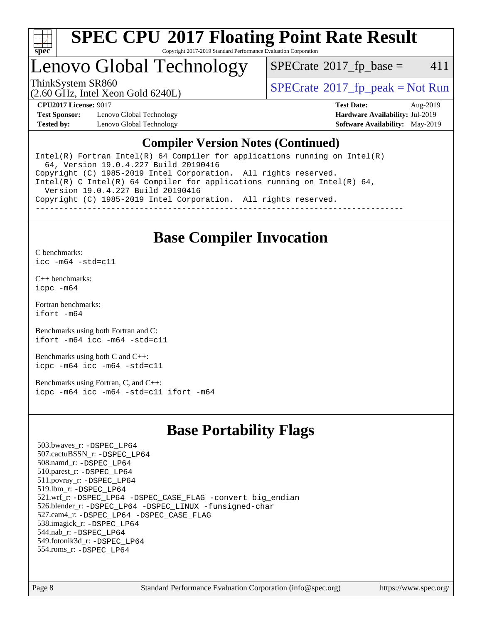

Copyright 2017-2019 Standard Performance Evaluation Corporation

### Lenovo Global Technology

 $SPECTate$ <sup>®</sup>[2017\\_fp\\_base =](http://www.spec.org/auto/cpu2017/Docs/result-fields.html#SPECrate2017fpbase) 411

ThinkSystem SR860<br>  $SPECrate^{\circ}2017$  $SPECrate^{\circ}2017$  fp\_peak = Not Run

(2.60 GHz, Intel Xeon Gold 6240L)

**[Test Sponsor:](http://www.spec.org/auto/cpu2017/Docs/result-fields.html#TestSponsor)** Lenovo Global Technology **[Hardware Availability:](http://www.spec.org/auto/cpu2017/Docs/result-fields.html#HardwareAvailability)** Jul-2019 **[Tested by:](http://www.spec.org/auto/cpu2017/Docs/result-fields.html#Testedby)** Lenovo Global Technology **[Software Availability:](http://www.spec.org/auto/cpu2017/Docs/result-fields.html#SoftwareAvailability)** May-2019

**[CPU2017 License:](http://www.spec.org/auto/cpu2017/Docs/result-fields.html#CPU2017License)** 9017 **[Test Date:](http://www.spec.org/auto/cpu2017/Docs/result-fields.html#TestDate)** Aug-2019

### **[Compiler Version Notes \(Continued\)](http://www.spec.org/auto/cpu2017/Docs/result-fields.html#CompilerVersionNotes)**

Intel(R) Fortran Intel(R)  $64$  Compiler for applications running on Intel(R) 64, Version 19.0.4.227 Build 20190416 Copyright (C) 1985-2019 Intel Corporation. All rights reserved. Intel(R) C Intel(R) 64 Compiler for applications running on Intel(R) 64, Version 19.0.4.227 Build 20190416 Copyright (C) 1985-2019 Intel Corporation. All rights reserved. ------------------------------------------------------------------------------

### **[Base Compiler Invocation](http://www.spec.org/auto/cpu2017/Docs/result-fields.html#BaseCompilerInvocation)**

[C benchmarks](http://www.spec.org/auto/cpu2017/Docs/result-fields.html#Cbenchmarks): [icc -m64 -std=c11](http://www.spec.org/cpu2017/results/res2019q3/cpu2017-20190902-17481.flags.html#user_CCbase_intel_icc_64bit_c11_33ee0cdaae7deeeab2a9725423ba97205ce30f63b9926c2519791662299b76a0318f32ddfffdc46587804de3178b4f9328c46fa7c2b0cd779d7a61945c91cd35)

[C++ benchmarks:](http://www.spec.org/auto/cpu2017/Docs/result-fields.html#CXXbenchmarks) [icpc -m64](http://www.spec.org/cpu2017/results/res2019q3/cpu2017-20190902-17481.flags.html#user_CXXbase_intel_icpc_64bit_4ecb2543ae3f1412ef961e0650ca070fec7b7afdcd6ed48761b84423119d1bf6bdf5cad15b44d48e7256388bc77273b966e5eb805aefd121eb22e9299b2ec9d9)

[Fortran benchmarks](http://www.spec.org/auto/cpu2017/Docs/result-fields.html#Fortranbenchmarks): [ifort -m64](http://www.spec.org/cpu2017/results/res2019q3/cpu2017-20190902-17481.flags.html#user_FCbase_intel_ifort_64bit_24f2bb282fbaeffd6157abe4f878425411749daecae9a33200eee2bee2fe76f3b89351d69a8130dd5949958ce389cf37ff59a95e7a40d588e8d3a57e0c3fd751)

[Benchmarks using both Fortran and C](http://www.spec.org/auto/cpu2017/Docs/result-fields.html#BenchmarksusingbothFortranandC): [ifort -m64](http://www.spec.org/cpu2017/results/res2019q3/cpu2017-20190902-17481.flags.html#user_CC_FCbase_intel_ifort_64bit_24f2bb282fbaeffd6157abe4f878425411749daecae9a33200eee2bee2fe76f3b89351d69a8130dd5949958ce389cf37ff59a95e7a40d588e8d3a57e0c3fd751) [icc -m64 -std=c11](http://www.spec.org/cpu2017/results/res2019q3/cpu2017-20190902-17481.flags.html#user_CC_FCbase_intel_icc_64bit_c11_33ee0cdaae7deeeab2a9725423ba97205ce30f63b9926c2519791662299b76a0318f32ddfffdc46587804de3178b4f9328c46fa7c2b0cd779d7a61945c91cd35)

[Benchmarks using both C and C++](http://www.spec.org/auto/cpu2017/Docs/result-fields.html#BenchmarksusingbothCandCXX): [icpc -m64](http://www.spec.org/cpu2017/results/res2019q3/cpu2017-20190902-17481.flags.html#user_CC_CXXbase_intel_icpc_64bit_4ecb2543ae3f1412ef961e0650ca070fec7b7afdcd6ed48761b84423119d1bf6bdf5cad15b44d48e7256388bc77273b966e5eb805aefd121eb22e9299b2ec9d9) [icc -m64 -std=c11](http://www.spec.org/cpu2017/results/res2019q3/cpu2017-20190902-17481.flags.html#user_CC_CXXbase_intel_icc_64bit_c11_33ee0cdaae7deeeab2a9725423ba97205ce30f63b9926c2519791662299b76a0318f32ddfffdc46587804de3178b4f9328c46fa7c2b0cd779d7a61945c91cd35)

[Benchmarks using Fortran, C, and C++:](http://www.spec.org/auto/cpu2017/Docs/result-fields.html#BenchmarksusingFortranCandCXX) [icpc -m64](http://www.spec.org/cpu2017/results/res2019q3/cpu2017-20190902-17481.flags.html#user_CC_CXX_FCbase_intel_icpc_64bit_4ecb2543ae3f1412ef961e0650ca070fec7b7afdcd6ed48761b84423119d1bf6bdf5cad15b44d48e7256388bc77273b966e5eb805aefd121eb22e9299b2ec9d9) [icc -m64 -std=c11](http://www.spec.org/cpu2017/results/res2019q3/cpu2017-20190902-17481.flags.html#user_CC_CXX_FCbase_intel_icc_64bit_c11_33ee0cdaae7deeeab2a9725423ba97205ce30f63b9926c2519791662299b76a0318f32ddfffdc46587804de3178b4f9328c46fa7c2b0cd779d7a61945c91cd35) [ifort -m64](http://www.spec.org/cpu2017/results/res2019q3/cpu2017-20190902-17481.flags.html#user_CC_CXX_FCbase_intel_ifort_64bit_24f2bb282fbaeffd6157abe4f878425411749daecae9a33200eee2bee2fe76f3b89351d69a8130dd5949958ce389cf37ff59a95e7a40d588e8d3a57e0c3fd751)

### **[Base Portability Flags](http://www.spec.org/auto/cpu2017/Docs/result-fields.html#BasePortabilityFlags)**

 503.bwaves\_r: [-DSPEC\\_LP64](http://www.spec.org/cpu2017/results/res2019q3/cpu2017-20190902-17481.flags.html#suite_basePORTABILITY503_bwaves_r_DSPEC_LP64) 507.cactuBSSN\_r: [-DSPEC\\_LP64](http://www.spec.org/cpu2017/results/res2019q3/cpu2017-20190902-17481.flags.html#suite_basePORTABILITY507_cactuBSSN_r_DSPEC_LP64) 508.namd\_r: [-DSPEC\\_LP64](http://www.spec.org/cpu2017/results/res2019q3/cpu2017-20190902-17481.flags.html#suite_basePORTABILITY508_namd_r_DSPEC_LP64) 510.parest\_r: [-DSPEC\\_LP64](http://www.spec.org/cpu2017/results/res2019q3/cpu2017-20190902-17481.flags.html#suite_basePORTABILITY510_parest_r_DSPEC_LP64) 511.povray\_r: [-DSPEC\\_LP64](http://www.spec.org/cpu2017/results/res2019q3/cpu2017-20190902-17481.flags.html#suite_basePORTABILITY511_povray_r_DSPEC_LP64) 519.lbm\_r: [-DSPEC\\_LP64](http://www.spec.org/cpu2017/results/res2019q3/cpu2017-20190902-17481.flags.html#suite_basePORTABILITY519_lbm_r_DSPEC_LP64) 521.wrf\_r: [-DSPEC\\_LP64](http://www.spec.org/cpu2017/results/res2019q3/cpu2017-20190902-17481.flags.html#suite_basePORTABILITY521_wrf_r_DSPEC_LP64) [-DSPEC\\_CASE\\_FLAG](http://www.spec.org/cpu2017/results/res2019q3/cpu2017-20190902-17481.flags.html#b521.wrf_r_baseCPORTABILITY_DSPEC_CASE_FLAG) [-convert big\\_endian](http://www.spec.org/cpu2017/results/res2019q3/cpu2017-20190902-17481.flags.html#user_baseFPORTABILITY521_wrf_r_convert_big_endian_c3194028bc08c63ac5d04de18c48ce6d347e4e562e8892b8bdbdc0214820426deb8554edfa529a3fb25a586e65a3d812c835984020483e7e73212c4d31a38223) 526.blender\_r: [-DSPEC\\_LP64](http://www.spec.org/cpu2017/results/res2019q3/cpu2017-20190902-17481.flags.html#suite_basePORTABILITY526_blender_r_DSPEC_LP64) [-DSPEC\\_LINUX](http://www.spec.org/cpu2017/results/res2019q3/cpu2017-20190902-17481.flags.html#b526.blender_r_baseCPORTABILITY_DSPEC_LINUX) [-funsigned-char](http://www.spec.org/cpu2017/results/res2019q3/cpu2017-20190902-17481.flags.html#user_baseCPORTABILITY526_blender_r_force_uchar_40c60f00ab013830e2dd6774aeded3ff59883ba5a1fc5fc14077f794d777847726e2a5858cbc7672e36e1b067e7e5c1d9a74f7176df07886a243d7cc18edfe67) 527.cam4\_r: [-DSPEC\\_LP64](http://www.spec.org/cpu2017/results/res2019q3/cpu2017-20190902-17481.flags.html#suite_basePORTABILITY527_cam4_r_DSPEC_LP64) [-DSPEC\\_CASE\\_FLAG](http://www.spec.org/cpu2017/results/res2019q3/cpu2017-20190902-17481.flags.html#b527.cam4_r_baseCPORTABILITY_DSPEC_CASE_FLAG) 538.imagick\_r: [-DSPEC\\_LP64](http://www.spec.org/cpu2017/results/res2019q3/cpu2017-20190902-17481.flags.html#suite_basePORTABILITY538_imagick_r_DSPEC_LP64) 544.nab\_r: [-DSPEC\\_LP64](http://www.spec.org/cpu2017/results/res2019q3/cpu2017-20190902-17481.flags.html#suite_basePORTABILITY544_nab_r_DSPEC_LP64) 549.fotonik3d\_r: [-DSPEC\\_LP64](http://www.spec.org/cpu2017/results/res2019q3/cpu2017-20190902-17481.flags.html#suite_basePORTABILITY549_fotonik3d_r_DSPEC_LP64) 554.roms\_r: [-DSPEC\\_LP64](http://www.spec.org/cpu2017/results/res2019q3/cpu2017-20190902-17481.flags.html#suite_basePORTABILITY554_roms_r_DSPEC_LP64)